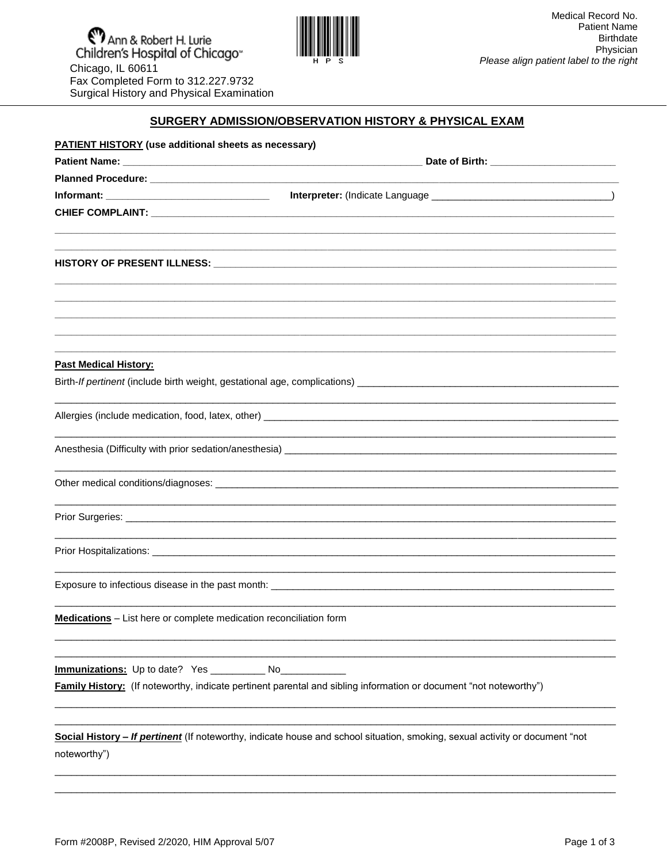

## SURGERY ADMISSION/OBSERVATION HISTORY & PHYSICAL EXAM

| <b>PATIENT HISTORY</b> (use additional sheets as necessary)        |                                                                                                                              |
|--------------------------------------------------------------------|------------------------------------------------------------------------------------------------------------------------------|
|                                                                    |                                                                                                                              |
|                                                                    |                                                                                                                              |
|                                                                    |                                                                                                                              |
|                                                                    |                                                                                                                              |
|                                                                    |                                                                                                                              |
|                                                                    |                                                                                                                              |
|                                                                    |                                                                                                                              |
|                                                                    |                                                                                                                              |
|                                                                    |                                                                                                                              |
|                                                                    |                                                                                                                              |
| <b>Past Medical History:</b>                                       |                                                                                                                              |
|                                                                    |                                                                                                                              |
|                                                                    |                                                                                                                              |
|                                                                    | <u> 1989 - Andrea Santa Andrea Andrea Andrea Andrea Andrea Andrea Andrea Andrea Andrea Andrea Andrea Andrea Andr</u>         |
|                                                                    |                                                                                                                              |
|                                                                    |                                                                                                                              |
|                                                                    |                                                                                                                              |
|                                                                    |                                                                                                                              |
|                                                                    |                                                                                                                              |
|                                                                    |                                                                                                                              |
| Medications - List here or complete medication reconciliation form |                                                                                                                              |
|                                                                    |                                                                                                                              |
| Immunizations: Up to date? Yes _______________ No_                 | <b>Family History:</b> (If noteworthy, indicate pertinent parental and sibling information or document "not noteworthy")     |
|                                                                    |                                                                                                                              |
|                                                                    | Social History - If pertinent (If noteworthy, indicate house and school situation, smoking, sexual activity or document "not |
| noteworthy")                                                       |                                                                                                                              |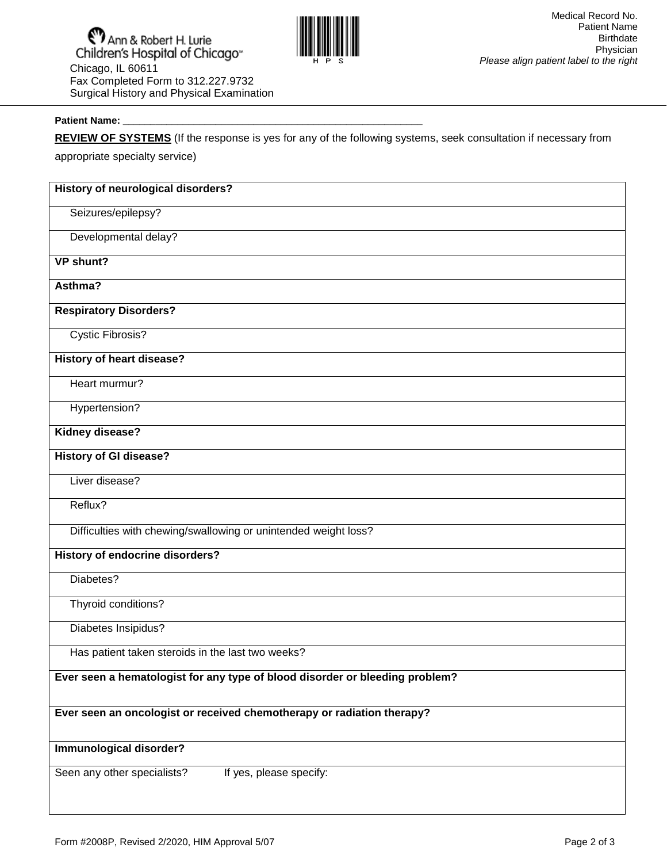

## j Patient Name:

**REVIEW OF SYSTEMS** (If the response is yes for any of the following systems, seek consultation if necessary from

appropriate specialty service)

| History of neurological disorders?                                           |
|------------------------------------------------------------------------------|
| Seizures/epilepsy?                                                           |
| Developmental delay?                                                         |
| VP shunt?                                                                    |
| Asthma?                                                                      |
| <b>Respiratory Disorders?</b>                                                |
| <b>Cystic Fibrosis?</b>                                                      |
| <b>History of heart disease?</b>                                             |
| Heart murmur?                                                                |
| Hypertension?                                                                |
| Kidney disease?                                                              |
| <b>History of GI disease?</b>                                                |
| Liver disease?                                                               |
| Reflux?                                                                      |
| Difficulties with chewing/swallowing or unintended weight loss?              |
| <b>History of endocrine disorders?</b>                                       |
| Diabetes?                                                                    |
| Thyroid conditions?                                                          |
| Diabetes Insipidus?                                                          |
| Has patient taken steroids in the last two weeks?                            |
| Ever seen a hematologist for any type of blood disorder or bleeding problem? |
| Ever seen an oncologist or received chemotherapy or radiation therapy?       |
| Immunological disorder?                                                      |
| Seen any other specialists?<br>If yes, please specify:                       |